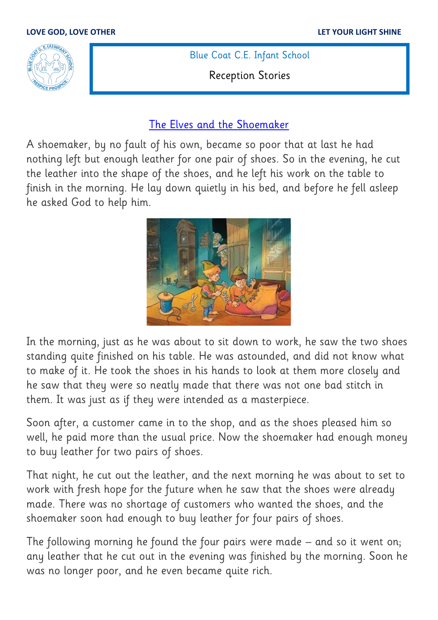

Blue Coat C.E. Infant School

Reception Stories

## [The Elves and the Shoemaker](https://www.youtube.com/watch?v=oqOGt5TvAUA)

A shoemaker, by no fault of his own, became so poor that at last he had nothing left but enough leather for one pair of shoes. So in the evening, he cut the leather into the shape of the shoes, and he left his work on the table to finish in the morning. He lay down quietly in his bed, and before he fell asleep he asked God to help him.



In the morning, just as he was about to sit down to work, he saw the two shoes standing quite finished on his table. He was astounded, and did not know what to make of it. He took the shoes in his hands to look at them more closely and he saw that they were so neatly made that there was not one bad stitch in them. It was just as if they were intended as a masterpiece.

Soon after, a customer came in to the shop, and as the shoes pleased him so well, he paid more than the usual price. Now the shoemaker had enough money to buy leather for two pairs of shoes.

That night, he cut out the leather, and the next morning he was about to set to work with fresh hope for the future when he saw that the shoes were already made. There was no shortage of customers who wanted the shoes, and the shoemaker soon had enough to buy leather for four pairs of shoes.

The following morning he found the four pairs were made – and so it went on; any leather that he cut out in the evening was finished by the morning. Soon he was no longer poor, and he even became quite rich.